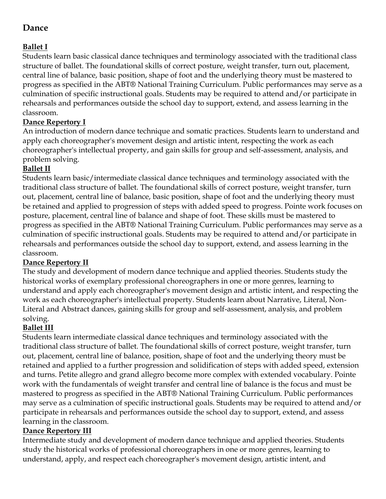# **Dance**

## **Ballet I**

Students learn basic classical dance techniques and terminology associated with the traditional class structure of ballet. The foundational skills of correct posture, weight transfer, turn out, placement, central line of balance, basic position, shape of foot and the underlying theory must be mastered to progress as specified in the ABT® National Training Curriculum. Public performances may serve as a culmination of specific instructional goals. Students may be required to attend and/or participate in rehearsals and performances outside the school day to support, extend, and assess learning in the classroom.

## **Dance Repertory I**

An introduction of modern dance technique and somatic practices. Students learn to understand and apply each choreographer's movement design and artistic intent, respecting the work as each choreographer's intellectual property, and gain skills for group and self-assessment, analysis, and problem solving.

### **Ballet II**

Students learn basic/intermediate classical dance techniques and terminology associated with the traditional class structure of ballet. The foundational skills of correct posture, weight transfer, turn out, placement, central line of balance, basic position, shape of foot and the underlying theory must be retained and applied to progression of steps with added speed to progress. Pointe work focuses on posture, placement, central line of balance and shape of foot. These skills must be mastered to progress as specified in the ABT® National Training Curriculum. Public performances may serve as a culmination of specific instructional goals. Students may be required to attend and/or participate in rehearsals and performances outside the school day to support, extend, and assess learning in the classroom.

#### **Dance Repertory II**

The study and development of modern dance technique and applied theories. Students study the historical works of exemplary professional choreographers in one or more genres, learning to understand and apply each choreographer's movement design and artistic intent, and respecting the work as each choreographer's intellectual property. Students learn about Narrative, Literal, Non-Literal and Abstract dances, gaining skills for group and self-assessment, analysis, and problem solving.

## **Ballet III**

Students learn intermediate classical dance techniques and terminology associated with the traditional class structure of ballet. The foundational skills of correct posture, weight transfer, turn out, placement, central line of balance, position, shape of foot and the underlying theory must be retained and applied to a further progression and solidification of steps with added speed, extension and turns. Petite allegro and grand allegro become more complex with extended vocabulary. Pointe work with the fundamentals of weight transfer and central line of balance is the focus and must be mastered to progress as specified in the ABT® National Training Curriculum. Public performances may serve as a culmination of specific instructional goals. Students may be required to attend and/or participate in rehearsals and performances outside the school day to support, extend, and assess learning in the classroom.

#### **Dance Repertory III**

Intermediate study and development of modern dance technique and applied theories. Students study the historical works of professional choreographers in one or more genres, learning to understand, apply, and respect each choreographer's movement design, artistic intent, and